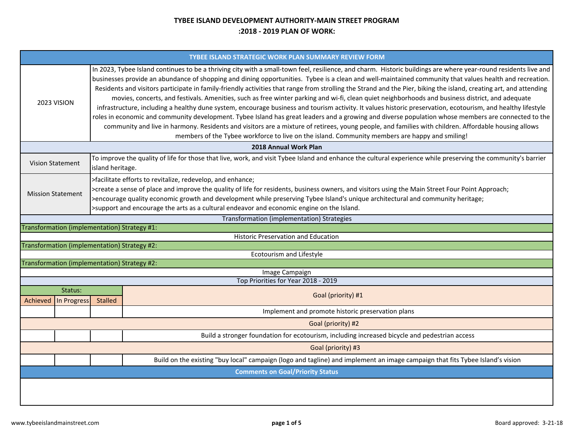## **TYBEE ISLAND DEVELOPMENT AUTHORITY‐MAIN STREET PROGRAM:2018 ‐ 2019 PLAN OF WORK:**

| TYBEE ISLAND STRATEGIC WORK PLAN SUMMARY REVIEW FORM                                                                                                                                                                                                                                                                                                                                                                                                                                                                                                                                                                                                                                                                                                                                                                                                                                                                                                                                                                                                                                                                                                                                                                                                 |                                                                                                                               |  |  |  |  |  |  |  |
|------------------------------------------------------------------------------------------------------------------------------------------------------------------------------------------------------------------------------------------------------------------------------------------------------------------------------------------------------------------------------------------------------------------------------------------------------------------------------------------------------------------------------------------------------------------------------------------------------------------------------------------------------------------------------------------------------------------------------------------------------------------------------------------------------------------------------------------------------------------------------------------------------------------------------------------------------------------------------------------------------------------------------------------------------------------------------------------------------------------------------------------------------------------------------------------------------------------------------------------------------|-------------------------------------------------------------------------------------------------------------------------------|--|--|--|--|--|--|--|
| In 2023, Tybee Island continues to be a thriving city with a small-town feel, resilience, and charm. Historic buildings are where year-round residents live and<br>businesses provide an abundance of shopping and dining opportunities. Tybee is a clean and well-maintained community that values health and recreation.<br>Residents and visitors participate in family-friendly activities that range from strolling the Strand and the Pier, biking the island, creating art, and attending<br>movies, concerts, and festivals. Amenities, such as free winter parking and wi-fi, clean quiet neighborhoods and business district, and adequate<br>2023 VISION<br>infrastructure, including a healthy dune system, encourage business and tourism activity. It values historic preservation, ecotourism, and healthy lifestyle<br>roles in economic and community development. Tybee Island has great leaders and a growing and diverse population whose members are connected to the<br>community and live in harmony. Residents and visitors are a mixture of retirees, young people, and families with children. Affordable housing allows<br>members of the Tybee workforce to live on the island. Community members are happy and smiling! |                                                                                                                               |  |  |  |  |  |  |  |
|                                                                                                                                                                                                                                                                                                                                                                                                                                                                                                                                                                                                                                                                                                                                                                                                                                                                                                                                                                                                                                                                                                                                                                                                                                                      | 2018 Annual Work Plan                                                                                                         |  |  |  |  |  |  |  |
| To improve the quality of life for those that live, work, and visit Tybee Island and enhance the cultural experience while preserving the community's barrier<br><b>Vision Statement</b><br>island heritage.                                                                                                                                                                                                                                                                                                                                                                                                                                                                                                                                                                                                                                                                                                                                                                                                                                                                                                                                                                                                                                         |                                                                                                                               |  |  |  |  |  |  |  |
| >facilitate efforts to revitalize, redevelop, and enhance;<br>>create a sense of place and improve the quality of life for residents, business owners, and visitors using the Main Street Four Point Approach;<br><b>Mission Statement</b><br>>encourage quality economic growth and development while preserving Tybee Island's unique architectural and community heritage;<br>>support and encourage the arts as a cultural endeavor and economic engine on the Island.                                                                                                                                                                                                                                                                                                                                                                                                                                                                                                                                                                                                                                                                                                                                                                           |                                                                                                                               |  |  |  |  |  |  |  |
|                                                                                                                                                                                                                                                                                                                                                                                                                                                                                                                                                                                                                                                                                                                                                                                                                                                                                                                                                                                                                                                                                                                                                                                                                                                      | <b>Transformation (implementation) Strategies</b>                                                                             |  |  |  |  |  |  |  |
|                                                                                                                                                                                                                                                                                                                                                                                                                                                                                                                                                                                                                                                                                                                                                                                                                                                                                                                                                                                                                                                                                                                                                                                                                                                      | Transformation (implementation) Strategy #1:                                                                                  |  |  |  |  |  |  |  |
|                                                                                                                                                                                                                                                                                                                                                                                                                                                                                                                                                                                                                                                                                                                                                                                                                                                                                                                                                                                                                                                                                                                                                                                                                                                      | <b>Historic Preservation and Education</b>                                                                                    |  |  |  |  |  |  |  |
|                                                                                                                                                                                                                                                                                                                                                                                                                                                                                                                                                                                                                                                                                                                                                                                                                                                                                                                                                                                                                                                                                                                                                                                                                                                      | Transformation (implementation) Strategy #2:<br>Ecotourism and Lifestyle                                                      |  |  |  |  |  |  |  |
|                                                                                                                                                                                                                                                                                                                                                                                                                                                                                                                                                                                                                                                                                                                                                                                                                                                                                                                                                                                                                                                                                                                                                                                                                                                      | Transformation (implementation) Strategy #2:                                                                                  |  |  |  |  |  |  |  |
|                                                                                                                                                                                                                                                                                                                                                                                                                                                                                                                                                                                                                                                                                                                                                                                                                                                                                                                                                                                                                                                                                                                                                                                                                                                      | Image Campaign                                                                                                                |  |  |  |  |  |  |  |
|                                                                                                                                                                                                                                                                                                                                                                                                                                                                                                                                                                                                                                                                                                                                                                                                                                                                                                                                                                                                                                                                                                                                                                                                                                                      | Top Priorities for Year 2018 - 2019                                                                                           |  |  |  |  |  |  |  |
| Status:<br>Achieved<br>In Progress                                                                                                                                                                                                                                                                                                                                                                                                                                                                                                                                                                                                                                                                                                                                                                                                                                                                                                                                                                                                                                                                                                                                                                                                                   | Goal (priority) #1<br><b>Stalled</b>                                                                                          |  |  |  |  |  |  |  |
|                                                                                                                                                                                                                                                                                                                                                                                                                                                                                                                                                                                                                                                                                                                                                                                                                                                                                                                                                                                                                                                                                                                                                                                                                                                      | Implement and promote historic preservation plans                                                                             |  |  |  |  |  |  |  |
|                                                                                                                                                                                                                                                                                                                                                                                                                                                                                                                                                                                                                                                                                                                                                                                                                                                                                                                                                                                                                                                                                                                                                                                                                                                      | Goal (priority) #2                                                                                                            |  |  |  |  |  |  |  |
| Build a stronger foundation for ecotourism, including increased bicycle and pedestrian access                                                                                                                                                                                                                                                                                                                                                                                                                                                                                                                                                                                                                                                                                                                                                                                                                                                                                                                                                                                                                                                                                                                                                        |                                                                                                                               |  |  |  |  |  |  |  |
| Goal (priority) #3                                                                                                                                                                                                                                                                                                                                                                                                                                                                                                                                                                                                                                                                                                                                                                                                                                                                                                                                                                                                                                                                                                                                                                                                                                   |                                                                                                                               |  |  |  |  |  |  |  |
|                                                                                                                                                                                                                                                                                                                                                                                                                                                                                                                                                                                                                                                                                                                                                                                                                                                                                                                                                                                                                                                                                                                                                                                                                                                      | Build on the existing "buy local" campaign (logo and tagline) and implement an image campaign that fits Tybee Island's vision |  |  |  |  |  |  |  |
| <b>Comments on Goal/Priority Status</b>                                                                                                                                                                                                                                                                                                                                                                                                                                                                                                                                                                                                                                                                                                                                                                                                                                                                                                                                                                                                                                                                                                                                                                                                              |                                                                                                                               |  |  |  |  |  |  |  |
|                                                                                                                                                                                                                                                                                                                                                                                                                                                                                                                                                                                                                                                                                                                                                                                                                                                                                                                                                                                                                                                                                                                                                                                                                                                      |                                                                                                                               |  |  |  |  |  |  |  |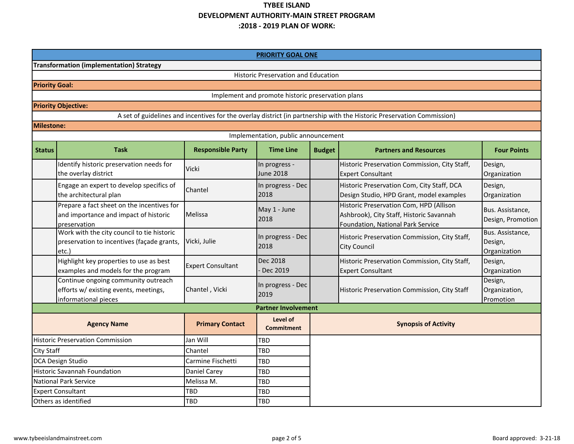# **TYBEE ISLAND DEVELOPMENT AUTHORITY‐MAIN STREET PROGRAM:2018 ‐ 2019 PLAN OF WORK:**

|                                         |                                                                                                      |                          | PRIORITY GOAL ONE                                 |                                                |                                                                                                                          |                                             |  |
|-----------------------------------------|------------------------------------------------------------------------------------------------------|--------------------------|---------------------------------------------------|------------------------------------------------|--------------------------------------------------------------------------------------------------------------------------|---------------------------------------------|--|
|                                         | <b>Transformation (implementation) Strategy</b>                                                      |                          |                                                   |                                                |                                                                                                                          |                                             |  |
|                                         |                                                                                                      |                          | <b>Historic Preservation and Education</b>        |                                                |                                                                                                                          |                                             |  |
| <b>Priority Goal:</b>                   |                                                                                                      |                          |                                                   |                                                |                                                                                                                          |                                             |  |
|                                         |                                                                                                      |                          | Implement and promote historic preservation plans |                                                |                                                                                                                          |                                             |  |
|                                         | <b>Priority Objective:</b>                                                                           |                          |                                                   |                                                |                                                                                                                          |                                             |  |
|                                         |                                                                                                      |                          |                                                   |                                                | A set of guidelines and incentives for the overlay district (in partnership with the Historic Preservation Commission)   |                                             |  |
| <b>Milestone:</b>                       |                                                                                                      |                          |                                                   |                                                |                                                                                                                          |                                             |  |
| Implementation, public announcement     |                                                                                                      |                          |                                                   |                                                |                                                                                                                          |                                             |  |
| <b>Status</b>                           | <b>Task</b>                                                                                          | <b>Responsible Party</b> | <b>Time Line</b>                                  | <b>Budget</b><br><b>Partners and Resources</b> |                                                                                                                          | <b>Four Points</b>                          |  |
|                                         | Identify historic preservation needs for<br>the overlay district                                     | Vicki                    | In progress -<br><b>June 2018</b>                 |                                                | Historic Preservation Commission, City Staff,<br><b>Expert Consultant</b>                                                | Design,<br>Organization                     |  |
|                                         | Engage an expert to develop specifics of<br>the architectural plan                                   | Chantel                  | In progress - Dec<br>2018                         |                                                | Historic Preservation Com, City Staff, DCA<br>Design Studio, HPD Grant, model examples                                   | Design,<br>Organization                     |  |
|                                         | Prepare a fact sheet on the incentives for<br>and importance and impact of historic<br>preservation  | Melissa                  | May 1 - June<br>2018                              |                                                | Historic Preservation Com, HPD (Allison<br>Ashbrook), City Staff, Historic Savannah<br>Foundation, National Park Service | Bus. Assistance,<br>Design, Promotion       |  |
|                                         | Work with the city council to tie historic<br>preservation to incentives (façade grants,<br>etc.)    | Vicki, Julie             | In progress - Dec<br>2018                         |                                                | Historic Preservation Commission, City Staff,<br><b>City Council</b>                                                     | Bus. Assistance,<br>Design,<br>Organization |  |
|                                         | Highlight key properties to use as best<br>examples and models for the program                       | <b>Expert Consultant</b> | Dec 2018<br>$\cdot$ Dec 2019                      |                                                | Historic Preservation Commission, City Staff,<br><b>Expert Consultant</b>                                                | Design,<br>Organization                     |  |
|                                         | Continue ongoing community outreach<br>efforts w/ existing events, meetings,<br>informational pieces | Chantel, Vicki           | In progress - Dec<br>2019                         |                                                | Historic Preservation Commission, City Staff                                                                             | Design,<br>Organization,<br>Promotion       |  |
|                                         |                                                                                                      |                          | <b>Partner Involvement</b>                        |                                                |                                                                                                                          |                                             |  |
| <b>Agency Name</b>                      |                                                                                                      | <b>Primary Contact</b>   | Level of<br><b>Commitment</b>                     |                                                | <b>Synopsis of Activity</b>                                                                                              |                                             |  |
| <b>Historic Preservation Commission</b> |                                                                                                      | Jan Will                 | TBD                                               |                                                |                                                                                                                          |                                             |  |
| <b>City Staff</b>                       |                                                                                                      | Chantel                  | TBD                                               |                                                |                                                                                                                          |                                             |  |
| DCA Design Studio                       |                                                                                                      | Carmine Fischetti        | <b>TBD</b>                                        |                                                |                                                                                                                          |                                             |  |
| <b>Historic Savannah Foundation</b>     |                                                                                                      | <b>Daniel Carey</b>      | TBD                                               |                                                |                                                                                                                          |                                             |  |
| <b>National Park Service</b>            |                                                                                                      | Melissa M.               | TBD                                               |                                                |                                                                                                                          |                                             |  |
| <b>Expert Consultant</b>                |                                                                                                      | TBD                      | <b>TBD</b>                                        |                                                |                                                                                                                          |                                             |  |
| Others as identified                    |                                                                                                      | TBD                      | <b>TBD</b>                                        |                                                |                                                                                                                          |                                             |  |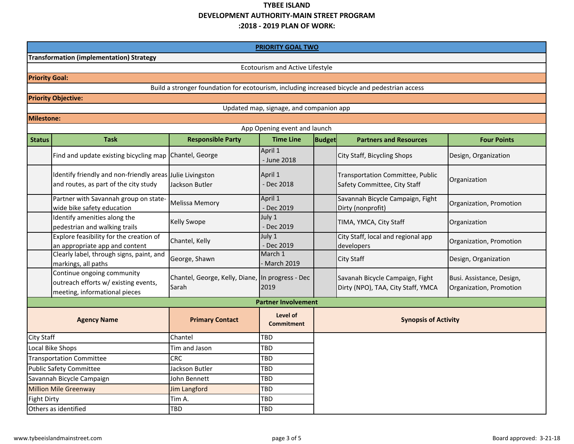## **TYBEE ISLAND DEVELOPMENT AUTHORITY‐MAIN STREET PROGRAM:2018 ‐ 2019 PLAN OF WORK:**

| <b>PRIORITY GOAL TWO</b>                        |                                                                                                     |                                                                                               |                               |                                                                       |                                                                  |                                                      |  |  |
|-------------------------------------------------|-----------------------------------------------------------------------------------------------------|-----------------------------------------------------------------------------------------------|-------------------------------|-----------------------------------------------------------------------|------------------------------------------------------------------|------------------------------------------------------|--|--|
| <b>Transformation (implementation) Strategy</b> |                                                                                                     |                                                                                               |                               |                                                                       |                                                                  |                                                      |  |  |
| Ecotourism and Active Lifestyle                 |                                                                                                     |                                                                                               |                               |                                                                       |                                                                  |                                                      |  |  |
| <b>Priority Goal:</b>                           |                                                                                                     |                                                                                               |                               |                                                                       |                                                                  |                                                      |  |  |
|                                                 |                                                                                                     | Build a stronger foundation for ecotourism, including increased bicycle and pedestrian access |                               |                                                                       |                                                                  |                                                      |  |  |
|                                                 | <b>Priority Objective:</b>                                                                          |                                                                                               |                               |                                                                       |                                                                  |                                                      |  |  |
|                                                 | Updated map, signage, and companion app                                                             |                                                                                               |                               |                                                                       |                                                                  |                                                      |  |  |
| Milestone:                                      |                                                                                                     |                                                                                               |                               |                                                                       |                                                                  |                                                      |  |  |
|                                                 |                                                                                                     |                                                                                               | App Opening event and launch  |                                                                       |                                                                  |                                                      |  |  |
| <b>Status</b>                                   | <b>Task</b>                                                                                         | <b>Responsible Party</b>                                                                      | <b>Time Line</b>              | <b>Budget</b>                                                         | <b>Partners and Resources</b>                                    | <b>Four Points</b>                                   |  |  |
|                                                 | Find and update existing bicycling map Chantel, George                                              |                                                                                               | April 1<br>- June 2018        |                                                                       | City Staff, Bicycling Shops                                      | Design, Organization                                 |  |  |
|                                                 | Identify friendly and non-friendly areas Julie Livingston<br>and routes, as part of the city study  | Jackson Butler                                                                                | April 1<br>Dec 2018           |                                                                       | Transportation Committee, Public<br>Safety Committee, City Staff | Organization                                         |  |  |
|                                                 | Partner with Savannah group on state-<br>wide bike safety education                                 | <b>Melissa Memory</b>                                                                         | April 1<br>- Dec 2019         |                                                                       | Savannah Bicycle Campaign, Fight<br>Dirty (nonprofit)            | Organization, Promotion                              |  |  |
|                                                 | Identify amenities along the<br>pedestrian and walking trails                                       | <b>Kelly Swope</b>                                                                            | July 1<br>- Dec 2019          |                                                                       | TIMA, YMCA, City Staff                                           | Organization                                         |  |  |
|                                                 | Explore feasibility for the creation of<br>an appropriate app and content                           | Chantel, Kelly                                                                                | July 1<br>- Dec 2019          |                                                                       | City Staff, local and regional app<br>developers                 | Organization, Promotion                              |  |  |
|                                                 | Clearly label, through signs, paint, and<br>markings, all paths                                     | George, Shawn                                                                                 | March 1<br><b>March 2019</b>  |                                                                       | <b>City Staff</b>                                                | Design, Organization                                 |  |  |
|                                                 | Continue ongoing community<br>outreach efforts w/ existing events,<br>meeting, informational pieces | Chantel, George, Kelly, Diane, In progress - Dec<br>Sarah                                     | 2019                          | Savanah Bicycle Campaign, Fight<br>Dirty (NPO), TAA, City Staff, YMCA |                                                                  | Busi. Assistance, Design,<br>Organization, Promotion |  |  |
|                                                 |                                                                                                     |                                                                                               | <b>Partner Involvement</b>    |                                                                       |                                                                  |                                                      |  |  |
| <b>Agency Name</b>                              |                                                                                                     | <b>Primary Contact</b>                                                                        | Level of<br><b>Commitment</b> |                                                                       | <b>Synopsis of Activity</b>                                      |                                                      |  |  |
| <b>City Staff</b>                               |                                                                                                     | Chantel                                                                                       | TBD                           |                                                                       |                                                                  |                                                      |  |  |
| Local Bike Shops                                |                                                                                                     | Tim and Jason                                                                                 | TBD                           |                                                                       |                                                                  |                                                      |  |  |
| <b>Transportation Committee</b>                 |                                                                                                     | <b>CRC</b>                                                                                    | TBD                           |                                                                       |                                                                  |                                                      |  |  |
| <b>Public Safety Committee</b>                  |                                                                                                     | Jackson Butler                                                                                | TBD                           |                                                                       |                                                                  |                                                      |  |  |
| Savannah Bicycle Campaign                       |                                                                                                     | John Bennett                                                                                  | TBD                           |                                                                       |                                                                  |                                                      |  |  |
| <b>Million Mile Greenway</b>                    |                                                                                                     | <b>Jim Langford</b>                                                                           | TBD                           |                                                                       |                                                                  |                                                      |  |  |
| <b>Fight Dirty</b>                              |                                                                                                     | Tim A.                                                                                        | TBD                           |                                                                       |                                                                  |                                                      |  |  |
| Others as identified                            |                                                                                                     | TBD                                                                                           | TBD                           |                                                                       |                                                                  |                                                      |  |  |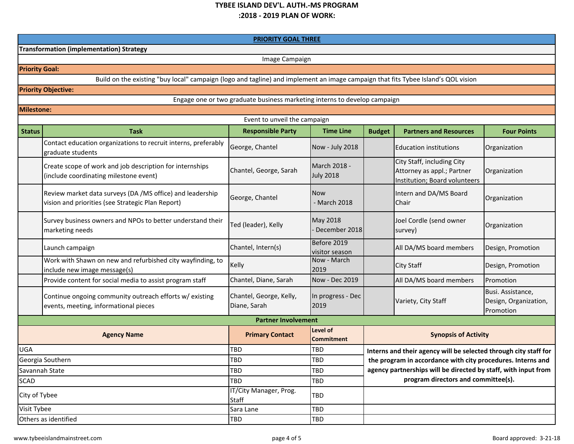#### **TYBEE ISLAND DEV'L. AUTH.‐MS PROGRAM :2018 ‐ 2019 PLAN OF WORK:**

|                                                 | <b>PRIORITY GOAL THREE</b>                                                                                                        |                                         |                                  |                                                                |                                                                                           |                                                         |  |  |  |
|-------------------------------------------------|-----------------------------------------------------------------------------------------------------------------------------------|-----------------------------------------|----------------------------------|----------------------------------------------------------------|-------------------------------------------------------------------------------------------|---------------------------------------------------------|--|--|--|
| <b>Transformation (implementation) Strategy</b> |                                                                                                                                   |                                         |                                  |                                                                |                                                                                           |                                                         |  |  |  |
|                                                 | Image Campaign                                                                                                                    |                                         |                                  |                                                                |                                                                                           |                                                         |  |  |  |
| <b>Priority Goal:</b>                           |                                                                                                                                   |                                         |                                  |                                                                |                                                                                           |                                                         |  |  |  |
|                                                 | Build on the existing "buy local" campaign (logo and tagline) and implement an image campaign that fits Tybee Island's QOL vision |                                         |                                  |                                                                |                                                                                           |                                                         |  |  |  |
|                                                 | <b>Priority Objective:</b>                                                                                                        |                                         |                                  |                                                                |                                                                                           |                                                         |  |  |  |
|                                                 | Engage one or two graduate business marketing interns to develop campaign                                                         |                                         |                                  |                                                                |                                                                                           |                                                         |  |  |  |
|                                                 | <b>Milestone:</b>                                                                                                                 |                                         |                                  |                                                                |                                                                                           |                                                         |  |  |  |
|                                                 | Event to unveil the campaign                                                                                                      |                                         |                                  |                                                                |                                                                                           |                                                         |  |  |  |
| <b>Status</b>                                   | <b>Task</b>                                                                                                                       | <b>Responsible Party</b>                | <b>Time Line</b>                 | <b>Budget</b>                                                  | <b>Partners and Resources</b>                                                             | <b>Four Points</b>                                      |  |  |  |
|                                                 | Contact education organizations to recruit interns, preferably<br>graduate students                                               | George, Chantel                         | Now - July 2018                  |                                                                | Education institutions                                                                    | Organization                                            |  |  |  |
|                                                 | Create scope of work and job description for internships<br>(include coordinating milestone event)                                | Chantel, George, Sarah                  | March 2018 -<br><b>July 2018</b> |                                                                | City Staff, including City<br>Attorney as appl.; Partner<br>Institution; Board volunteers | Organization                                            |  |  |  |
|                                                 | Review market data surveys (DA /MS office) and leadership<br>vision and priorities (see Strategic Plan Report)                    | George, Chantel                         | <b>Now</b><br>- March 2018       |                                                                | Intern and DA/MS Board<br>Chair                                                           | Organization                                            |  |  |  |
|                                                 | Survey business owners and NPOs to better understand their<br>marketing needs                                                     | Ted (leader), Kelly                     | <b>May 2018</b><br>December 2018 |                                                                | Joel Cordle (send owner<br>survey)                                                        | Organization                                            |  |  |  |
|                                                 | Launch campaign                                                                                                                   | Chantel, Intern(s)                      | Before 2019<br>visitor season    |                                                                | All DA/MS board members                                                                   | Design, Promotion                                       |  |  |  |
|                                                 | Work with Shawn on new and refurbished city wayfinding, to<br>include new image message(s)                                        | Kelly                                   | Now - March<br>2019              |                                                                | <b>City Staff</b>                                                                         | Design, Promotion                                       |  |  |  |
|                                                 | Provide content for social media to assist program staff                                                                          | Chantel, Diane, Sarah                   | Now - Dec 2019                   |                                                                | All DA/MS board members                                                                   | Promotion                                               |  |  |  |
|                                                 | Continue ongoing community outreach efforts w/ existing<br>events, meeting, informational pieces                                  | Chantel, George, Kelly,<br>Diane, Sarah | In progress - Dec<br>2019        |                                                                | Variety, City Staff                                                                       | Busi. Assistance,<br>Design, Organization,<br>Promotion |  |  |  |
|                                                 | <b>Partner Involvement</b>                                                                                                        |                                         |                                  |                                                                |                                                                                           |                                                         |  |  |  |
|                                                 | <b>Agency Name</b>                                                                                                                | <b>Primary Contact</b>                  | Level of<br><b>Commitment</b>    |                                                                | <b>Synopsis of Activity</b>                                                               |                                                         |  |  |  |
| <b>UGA</b>                                      |                                                                                                                                   | <b>TBD</b>                              | TBD                              |                                                                | Interns and their agency will be selected through city staff for                          |                                                         |  |  |  |
|                                                 | Georgia Southern                                                                                                                  | <b>TBD</b>                              | <b>TBD</b>                       |                                                                | the program in accordance with city procedures. Interns and                               |                                                         |  |  |  |
|                                                 | Savannah State                                                                                                                    | TBD                                     | TBD                              | agency partnerships will be directed by staff, with input from |                                                                                           |                                                         |  |  |  |
| <b>SCAD</b>                                     |                                                                                                                                   | <b>TBD</b>                              | TBD                              | program directors and committee(s).                            |                                                                                           |                                                         |  |  |  |
| City of Tybee                                   |                                                                                                                                   | IT/City Manager, Prog.<br><b>Staff</b>  | TBD                              |                                                                |                                                                                           |                                                         |  |  |  |
| Visit Tybee                                     |                                                                                                                                   | Sara Lane                               | TBD                              |                                                                |                                                                                           |                                                         |  |  |  |
|                                                 | Others as identified                                                                                                              | <b>TBD</b>                              | TBD                              |                                                                |                                                                                           |                                                         |  |  |  |